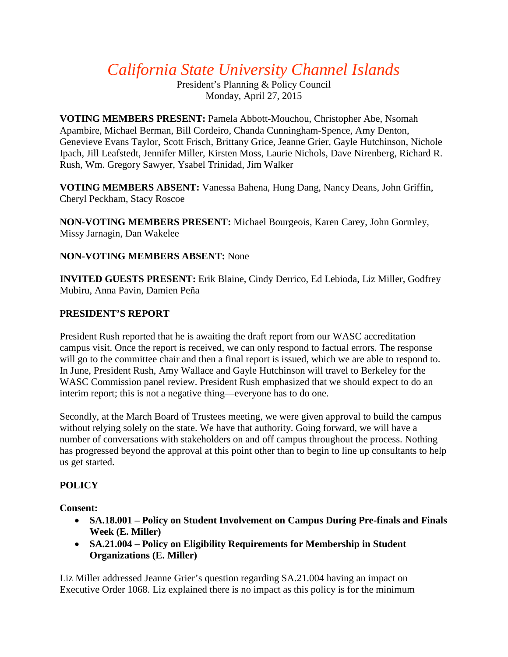# *California State University Channel Islands*

President's Planning & Policy Council Monday, April 27, 2015

**VOTING MEMBERS PRESENT:** Pamela Abbott-Mouchou, Christopher Abe, Nsomah Apambire, Michael Berman, Bill Cordeiro, Chanda Cunningham-Spence, Amy Denton, Genevieve Evans Taylor, Scott Frisch, Brittany Grice, Jeanne Grier, Gayle Hutchinson, Nichole Ipach, Jill Leafstedt, Jennifer Miller, Kirsten Moss, Laurie Nichols, Dave Nirenberg, Richard R. Rush, Wm. Gregory Sawyer, Ysabel Trinidad, Jim Walker

**VOTING MEMBERS ABSENT:** Vanessa Bahena, Hung Dang, Nancy Deans, John Griffin, Cheryl Peckham, Stacy Roscoe

**NON-VOTING MEMBERS PRESENT:** Michael Bourgeois, Karen Carey, John Gormley, Missy Jarnagin, Dan Wakelee

# **NON-VOTING MEMBERS ABSENT:** None

**INVITED GUESTS PRESENT:** Erik Blaine, Cindy Derrico, Ed Lebioda, Liz Miller, Godfrey Mubiru, Anna Pavin, Damien Peña

# **PRESIDENT'S REPORT**

President Rush reported that he is awaiting the draft report from our WASC accreditation campus visit. Once the report is received, we can only respond to factual errors. The response will go to the committee chair and then a final report is issued, which we are able to respond to. In June, President Rush, Amy Wallace and Gayle Hutchinson will travel to Berkeley for the WASC Commission panel review. President Rush emphasized that we should expect to do an interim report; this is not a negative thing—everyone has to do one.

Secondly, at the March Board of Trustees meeting, we were given approval to build the campus without relying solely on the state. We have that authority. Going forward, we will have a number of conversations with stakeholders on and off campus throughout the process. Nothing has progressed beyond the approval at this point other than to begin to line up consultants to help us get started.

# **POLICY**

**Consent:**

- **SA.18.001 – Policy on Student Involvement on Campus During Pre-finals and Finals Week (E. Miller)**
- **SA.21.004 – Policy on Eligibility Requirements for Membership in Student Organizations (E. Miller)**

Liz Miller addressed Jeanne Grier's question regarding SA.21.004 having an impact on Executive Order 1068. Liz explained there is no impact as this policy is for the minimum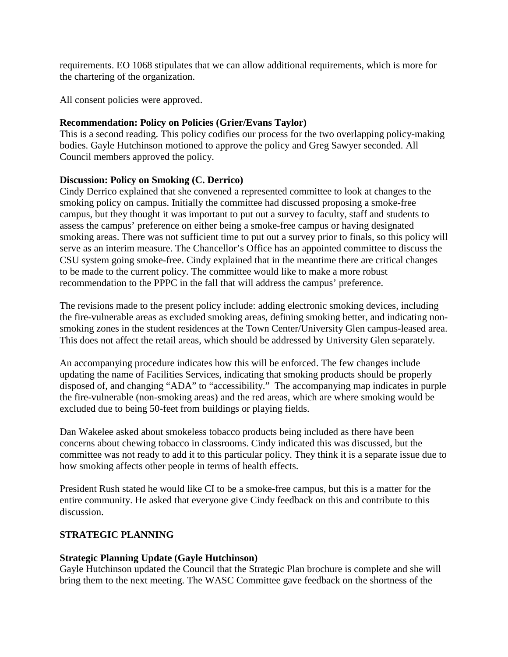requirements. EO 1068 stipulates that we can allow additional requirements, which is more for the chartering of the organization.

All consent policies were approved.

## **Recommendation: Policy on Policies (Grier/Evans Taylor)**

This is a second reading. This policy codifies our process for the two overlapping policy-making bodies. Gayle Hutchinson motioned to approve the policy and Greg Sawyer seconded. All Council members approved the policy.

#### **Discussion: Policy on Smoking (C. Derrico)**

Cindy Derrico explained that she convened a represented committee to look at changes to the smoking policy on campus. Initially the committee had discussed proposing a smoke-free campus, but they thought it was important to put out a survey to faculty, staff and students to assess the campus' preference on either being a smoke-free campus or having designated smoking areas. There was not sufficient time to put out a survey prior to finals, so this policy will serve as an interim measure. The Chancellor's Office has an appointed committee to discuss the CSU system going smoke-free. Cindy explained that in the meantime there are critical changes to be made to the current policy. The committee would like to make a more robust recommendation to the PPPC in the fall that will address the campus' preference.

The revisions made to the present policy include: adding electronic smoking devices, including the fire-vulnerable areas as excluded smoking areas, defining smoking better, and indicating nonsmoking zones in the student residences at the Town Center/University Glen campus-leased area. This does not affect the retail areas, which should be addressed by University Glen separately.

An accompanying procedure indicates how this will be enforced. The few changes include updating the name of Facilities Services, indicating that smoking products should be properly disposed of, and changing "ADA" to "accessibility." The accompanying map indicates in purple the fire-vulnerable (non-smoking areas) and the red areas, which are where smoking would be excluded due to being 50-feet from buildings or playing fields.

Dan Wakelee asked about smokeless tobacco products being included as there have been concerns about chewing tobacco in classrooms. Cindy indicated this was discussed, but the committee was not ready to add it to this particular policy. They think it is a separate issue due to how smoking affects other people in terms of health effects.

President Rush stated he would like CI to be a smoke-free campus, but this is a matter for the entire community. He asked that everyone give Cindy feedback on this and contribute to this discussion.

## **STRATEGIC PLANNING**

## **Strategic Planning Update (Gayle Hutchinson)**

Gayle Hutchinson updated the Council that the Strategic Plan brochure is complete and she will bring them to the next meeting. The WASC Committee gave feedback on the shortness of the